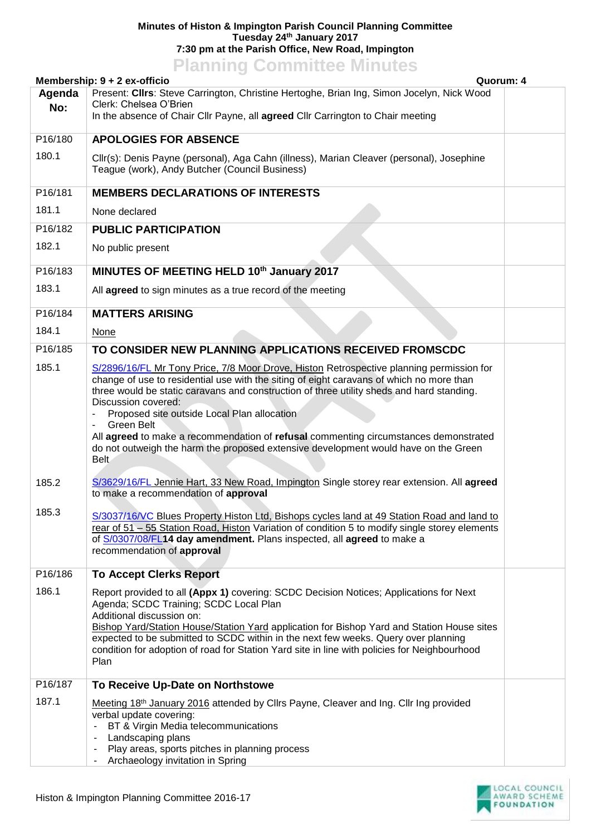## **Minutes of Histon & Impington Parish Council Planning Committee Tuesday 24th January 2017 7:30 pm at the Parish Office, New Road, Impington**

## **Planning Committee Minutes**

|                | Membership: 9 + 2 ex-officio<br>Quorum: 4                                                                                                                                                                                                                                                                                                                                                                                                                                                                                                                                                                                                                 |  |  |
|----------------|-----------------------------------------------------------------------------------------------------------------------------------------------------------------------------------------------------------------------------------------------------------------------------------------------------------------------------------------------------------------------------------------------------------------------------------------------------------------------------------------------------------------------------------------------------------------------------------------------------------------------------------------------------------|--|--|
| Agenda<br>No:  | Present: Cllrs: Steve Carrington, Christine Hertoghe, Brian Ing, Simon Jocelyn, Nick Wood<br>Clerk: Chelsea O'Brien<br>In the absence of Chair Cllr Payne, all agreed Cllr Carrington to Chair meeting                                                                                                                                                                                                                                                                                                                                                                                                                                                    |  |  |
| P16/180        | <b>APOLOGIES FOR ABSENCE</b>                                                                                                                                                                                                                                                                                                                                                                                                                                                                                                                                                                                                                              |  |  |
| 180.1          | Cllr(s): Denis Payne (personal), Aga Cahn (illness), Marian Cleaver (personal), Josephine<br>Teague (work), Andy Butcher (Council Business)                                                                                                                                                                                                                                                                                                                                                                                                                                                                                                               |  |  |
| P16/181        | <b>MEMBERS DECLARATIONS OF INTERESTS</b>                                                                                                                                                                                                                                                                                                                                                                                                                                                                                                                                                                                                                  |  |  |
| 181.1          | None declared                                                                                                                                                                                                                                                                                                                                                                                                                                                                                                                                                                                                                                             |  |  |
| P16/182        | <b>PUBLIC PARTICIPATION</b>                                                                                                                                                                                                                                                                                                                                                                                                                                                                                                                                                                                                                               |  |  |
| 182.1          | No public present                                                                                                                                                                                                                                                                                                                                                                                                                                                                                                                                                                                                                                         |  |  |
| P16/183        | MINUTES OF MEETING HELD 10th January 2017                                                                                                                                                                                                                                                                                                                                                                                                                                                                                                                                                                                                                 |  |  |
| 183.1          | All agreed to sign minutes as a true record of the meeting                                                                                                                                                                                                                                                                                                                                                                                                                                                                                                                                                                                                |  |  |
| P16/184        | <b>MATTERS ARISING</b>                                                                                                                                                                                                                                                                                                                                                                                                                                                                                                                                                                                                                                    |  |  |
| 184.1          | <b>None</b>                                                                                                                                                                                                                                                                                                                                                                                                                                                                                                                                                                                                                                               |  |  |
| P16/185        | TO CONSIDER NEW PLANNING APPLICATIONS RECEIVED FROMSCDC                                                                                                                                                                                                                                                                                                                                                                                                                                                                                                                                                                                                   |  |  |
| 185.1<br>185.2 | S/2896/16/FL Mr Tony Price, 7/8 Moor Drove, Histon Retrospective planning permission for<br>change of use to residential use with the siting of eight caravans of which no more than<br>three would be static caravans and construction of three utility sheds and hard standing.<br>Discussion covered:<br>Proposed site outside Local Plan allocation<br>Green Belt<br>All agreed to make a recommendation of refusal commenting circumstances demonstrated<br>do not outweigh the harm the proposed extensive development would have on the Green<br>Belt<br>S/3629/16/FL Jennie Hart, 33 New Road, Impington Single storey rear extension. All agreed |  |  |
| 185.3          | to make a recommendation of approval<br>S/3037/16/VC Blues Property Histon Ltd, Bishops cycles land at 49 Station Road and land to<br>rear of 51 - 55 Station Road, Histon Variation of condition 5 to modify single storey elements<br>of S/0307/08/FL14 day amendment. Plans inspected, all agreed to make a<br>recommendation of approval                                                                                                                                                                                                                                                                                                              |  |  |
| P16/186        | <b>To Accept Clerks Report</b>                                                                                                                                                                                                                                                                                                                                                                                                                                                                                                                                                                                                                            |  |  |
| 186.1          | Report provided to all (Appx 1) covering: SCDC Decision Notices; Applications for Next<br>Agenda; SCDC Training; SCDC Local Plan<br>Additional discussion on:<br>Bishop Yard/Station House/Station Yard application for Bishop Yard and Station House sites<br>expected to be submitted to SCDC within in the next few weeks. Query over planning<br>condition for adoption of road for Station Yard site in line with policies for Neighbourhood<br>Plan                                                                                                                                                                                                 |  |  |
| P16/187        | To Receive Up-Date on Northstowe                                                                                                                                                                                                                                                                                                                                                                                                                                                                                                                                                                                                                          |  |  |
| 187.1          | Meeting 18th January 2016 attended by Cllrs Payne, Cleaver and Ing. Cllr Ing provided<br>verbal update covering:<br>BT & Virgin Media telecommunications<br>Landscaping plans<br>Play areas, sports pitches in planning process<br>Archaeology invitation in Spring                                                                                                                                                                                                                                                                                                                                                                                       |  |  |